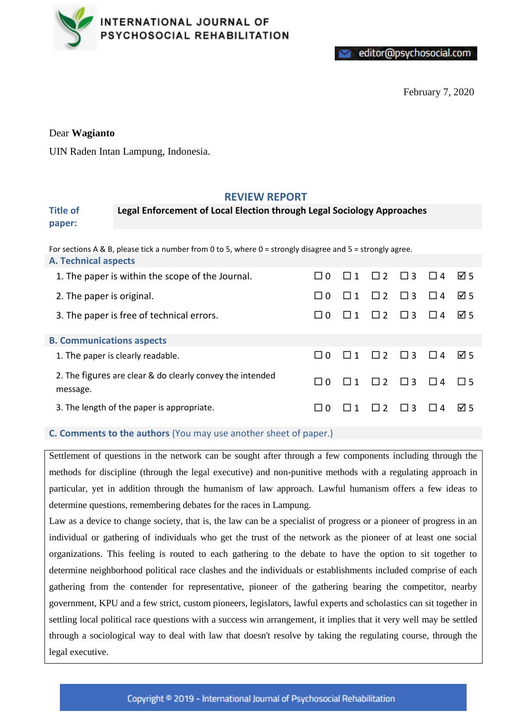

editor@psychosocial.com

February 7, 2020

## Dear **Wagianto**

UIN Raden Intan Lampung, Indonesia.

# **REVIEW REPORT**

#### **Title of paper: Legal Enforcement of Local Election through Legal Sociology Approaches**

For sections A & B, please tick a number from 0 to 5, where 0 = strongly disagree and 5 = strongly agree.

| <b>A. Technical aspects</b>                                           |          |          |            |                            |                           |          |
|-----------------------------------------------------------------------|----------|----------|------------|----------------------------|---------------------------|----------|
| 1. The paper is within the scope of the Journal.                      | $\Box$ 0 | $\Box$ 1 |            | $\Box$ 2 $\Box$ 3 $\Box$ 4 |                           | ⊠ 5      |
| 2. The paper is original.                                             | $\Omega$ | l I 1    | $\Box$     | $\Box$ 3                   | $\perp$<br>$\overline{4}$ | न्न ५    |
| 3. The paper is free of technical errors.                             | $\Omega$ |          | $\Box$ 2   | $\Box$ 3                   | $\Box$ 4                  | ☑ 5      |
| <b>B. Communications aspects</b>                                      |          |          |            |                            |                           |          |
| 1. The paper is clearly readable.                                     | $\Box$ 0 | 111      | $\Box$ 2   | $\Box$ 3                   | $\Box$ 4                  | ाज ५     |
| 2. The figures are clear & do clearly convey the intended<br>message. | $\Box$ 0 | $\Box$ 1 | $\Box$     | $\Box$ 3                   | $\Box$ 4                  | $\Box$ 5 |
| 3. The length of the paper is appropriate.                            | $\Omega$ |          | $\sqcap$ ? | $\Box$ 3                   |                           | न्न ५    |

### **C. Comments to the authors** (You may use another sheet of paper.)

Settlement of questions in the network can be sought after through a few components including through the methods for discipline (through the legal executive) and non-punitive methods with a regulating approach in particular, yet in addition through the humanism of law approach. Lawful humanism offers a few ideas to determine questions, remembering debates for the races in Lampung.

Law as a device to change society, that is, the law can be a specialist of progress or a pioneer of progress in an individual or gathering of individuals who get the trust of the network as the pioneer of at least one social organizations. This feeling is routed to each gathering to the debate to have the option to sit together to determine neighborhood political race clashes and the individuals or establishments included comprise of each gathering from the contender for representative, pioneer of the gathering bearing the competitor, nearby government, KPU and a few strict, custom pioneers, legislators, lawful experts and scholastics can sit together in settling local political race questions with a success win arrangement, it implies that it very well may be settled through a sociological way to deal with law that doesn't resolve by taking the regulating course, through the legal executive.